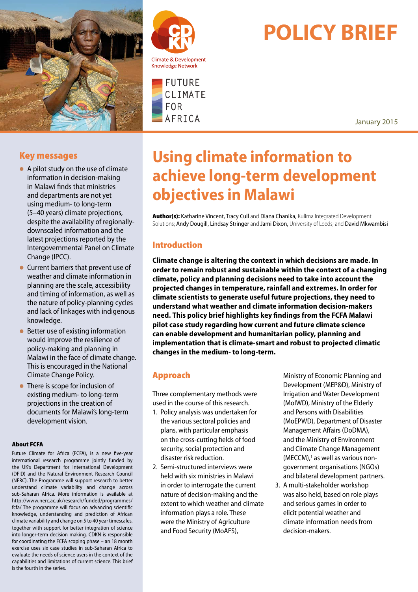





# **POLICY BRIEF**

January 2015

# Key messages

- $\bullet$  A pilot study on the use of climate information in decision-making in Malawi finds that ministries and departments are not yet using medium- to long-term (5–40 years) climate projections, despite the availability of regionallydownscaled information and the latest projections reported by the Intergovernmental Panel on Climate Change (IPCC).
- l Current barriers that prevent use of weather and climate information in planning are the scale, accessibility and timing of information, as well as the nature of policy-planning cycles and lack of linkages with indigenous knowledge.
- $\bullet$  Better use of existing information would improve the resilience of policy-making and planning in Malawi in the face of climate change. This is encouraged in the National Climate Change Policy.
- $\bullet$  There is scope for inclusion of existing medium- to long-term projections in the creation of documents for Malawi's long-term development vision.

#### About FCFA

Future Climate for Africa (FCFA), is a new five-year international research programme jointly funded by the UK's Department for International Development (DFID) and the Natural Environment Research Council (NERC). The Programme will support research to better understand climate variability and change across sub-Saharan Africa. More information is available at http://www.nerc.ac.uk/research/funded/programmes/ fcfa/ The programme will focus on advancing scientific knowledge, understanding and prediction of African climate variability and change on 5 to 40 year timescales, together with support for better integration of science into longer-term decision making. CDKN is responsible for coordinating the FCFA scoping phase – an 18 month exercise uses six case studies in sub-Saharan Africa to evaluate the needs of science users in the context of the capabilities and limitations of current science. This brief is the fourth in the series.

# **Using climate information to achieve long-term development objectives in Malawi**

Author(s): Katharine Vincent, Tracy Cull and Diana Chanika, Kulima Integrated Development Solutions; Andy Dougill, Lindsay Stringer and Jami Dixon, University of Leeds; and David Mkwambisi

# Introduction

**Climate change is altering the context in which decisions are made. In order to remain robust and sustainable within the context of a changing climate, policy and planning decisions need to take into account the projected changes in temperature, rainfall and extremes. In order for climate scientists to generate useful future projections, they need to understand what weather and climate information decision-makers need. This policy brief highlights key findings from the FCFA Malawi pilot case study regarding how current and future climate science can enable development and humanitarian policy, planning and implementation that is climate-smart and robust to projected climatic changes in the medium- to long-term.** 

## Approach

Three complementary methods were used in the course of this research.

- 1. Policy analysis was undertaken for the various sectoral policies and plans, with particular emphasis on the cross-cutting fields of food security, social protection and disaster risk reduction.
- 2. Semi-structured interviews were held with six ministries in Malawi in order to interrogate the current nature of decision-making and the extent to which weather and climate information plays a role. These were the Ministry of Agriculture and Food Security (MoAFS),

Ministry of Economic Planning and Development (MEP&D), Ministry of Irrigation and Water Development (MoIWD), Ministry of the Elderly and Persons with Disabilities (MoEPWD), Department of Disaster Management Affairs (DoDMA), and the Ministry of Environment and Climate Change Management (MECCM),<sup>1</sup> as well as various nongovernment organisations (NGOs) and bilateral development partners.

3. A multi-stakeholder workshop was also held, based on role plays and serious games in order to elicit potential weather and climate information needs from decision-makers.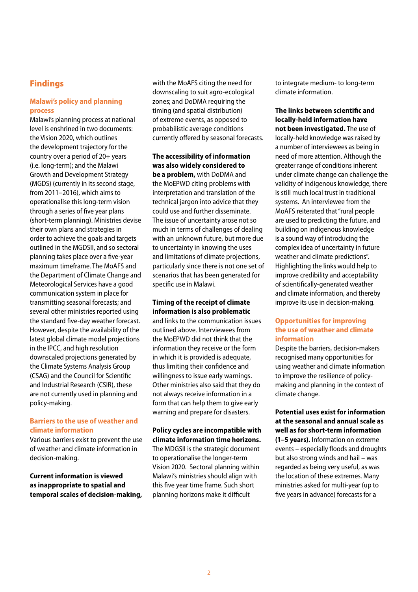### Findings

#### **Malawi's policy and planning process**

Malawi's planning process at national level is enshrined in two documents: the Vision 2020, which outlines the development trajectory for the country over a period of 20+ years (i.e. long-term); and the Malawi Growth and Development Strategy (MGDS) (currently in its second stage, from 2011–2016), which aims to operationalise this long-term vision through a series of five year plans (short-term planning). Ministries devise their own plans and strategies in order to achieve the goals and targets outlined in the MGDSII, and so sectoral planning takes place over a five-year maximum timeframe. The MoAFS and the Department of Climate Change and Meteorological Services have a good communication system in place for transmitting seasonal forecasts; and several other ministries reported using the standard five-day weather forecast. However, despite the availability of the latest global climate model projections in the IPCC, and high resolution downscaled projections generated by the Climate Systems Analysis Group (CSAG) and the Council for Scientific and Industrial Research (CSIR), these are not currently used in planning and policy-making.

#### **Barriers to the use of weather and climate information**

Various barriers exist to prevent the use of weather and climate information in decision-making.

#### **Current information is viewed as inappropriate to spatial and temporal scales of decision-making,**

with the MoAFS citing the need for downscaling to suit agro-ecological zones; and DoDMA requiring the timing (and spatial distribution) of extreme events, as opposed to probabilistic average conditions currently offered by seasonal forecasts.

**The accessibility of information was also widely considered to be a problem,** with DoDMA and the MoEPWD citing problems with interpretation and translation of the technical jargon into advice that they could use and further disseminate. The issue of uncertainty arose not so much in terms of challenges of dealing with an unknown future, but more due to uncertainty in knowing the uses and limitations of climate projections, particularly since there is not one set of scenarios that has been generated for specific use in Malawi.

#### **Timing of the receipt of climate information is also problematic**

and links to the communication issues outlined above. Interviewees from the MoEPWD did not think that the information they receive or the form in which it is provided is adequate, thus limiting their confidence and willingness to issue early warnings. Other ministries also said that they do not always receive information in a form that can help them to give early warning and prepare for disasters.

#### **Policy cycles are incompatible with climate information time horizons.**

The MDGSII is the strategic document to operationalise the longer-term Vision 2020. Sectoral planning within Malawi's ministries should align with this five year time frame. Such short planning horizons make it difficult

to integrate medium- to long-term climate information.

**The links between scientific and locally-held information have not been investigated.** The use of locally-held knowledge was raised by a number of interviewees as being in need of more attention. Although the greater range of conditions inherent under climate change can challenge the validity of indigenous knowledge, there is still much local trust in traditional systems. An interviewee from the MoAFS reiterated that "rural people are used to predicting the future, and building on indigenous knowledge is a sound way of introducing the complex idea of uncertainty in future weather and climate predictions". Highlighting the links would help to improve credibility and acceptability of scientifically-generated weather and climate information, and thereby improve its use in decision-making.

#### **Opportunities for improving the use of weather and climate information**

Despite the barriers, decision-makers recognised many opportunities for using weather and climate information to improve the resilience of policymaking and planning in the context of climate change.

#### **Potential uses exist for information at the seasonal and annual scale as well as for short-term information**

**(1–5 years).** Information on extreme events – especially floods and droughts but also strong winds and hail – was regarded as being very useful, as was the location of these extremes. Many ministries asked for multi-year (up to five years in advance) forecasts for a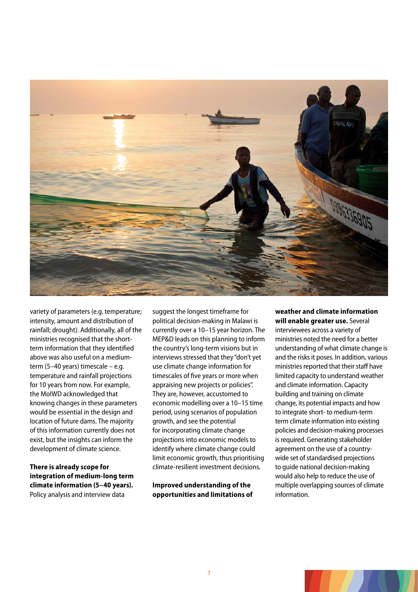

variety of parameters (e.g. temperature; intensity, amount and distribution of rainfall; drought). Additionally, all of the ministries recognised that the shortterm information that they identified above was also useful on a mediumterm (5–40 years) timescale – e.g. temperature and rainfall projections for 10 years from now. For example, the MoIWD acknowledged that knowing changes in these parameters would be essential in the design and location of future dams. The majority of this information currently does not exist, but the insights can inform the development of climate science.

**There is already scope for integration of medium-long term climate information (5–40 years).** Policy analysis and interview data

suggest the longest timeframe for political decision-making in Malawi is currently over a 10–15 year horizon. The MEP&D leads on this planning to inform the country's long-term visions but in interviews stressed that they "don't yet use climate change information for timescales of five years or more when appraising new projects or policies". They are, however, accustomed to economic modelling over a 10–15 time period, using scenarios of population growth, and see the potential for incorporating climate change projections into economic models to identify where climate change could limit economic growth, thus prioritising climate-resilient investment decisions.

**Improved understanding of the opportunities and limitations of** 

#### **weather and climate information will enable greater use.** Several

interviewees across a variety of ministries noted the need for a better understanding of what climate change is and the risks it poses. In addition, various ministries reported that their staff have limited capacity to understand weather and climate information. Capacity building and training on climate change, its potential impacts and how to integrate short- to medium-term term climate information into existing policies and decision-making processes is required. Generating stakeholder agreement on the use of a countrywide set of standardised projections to guide national decision-making would also help to reduce the use of multiple overlapping sources of climate information.